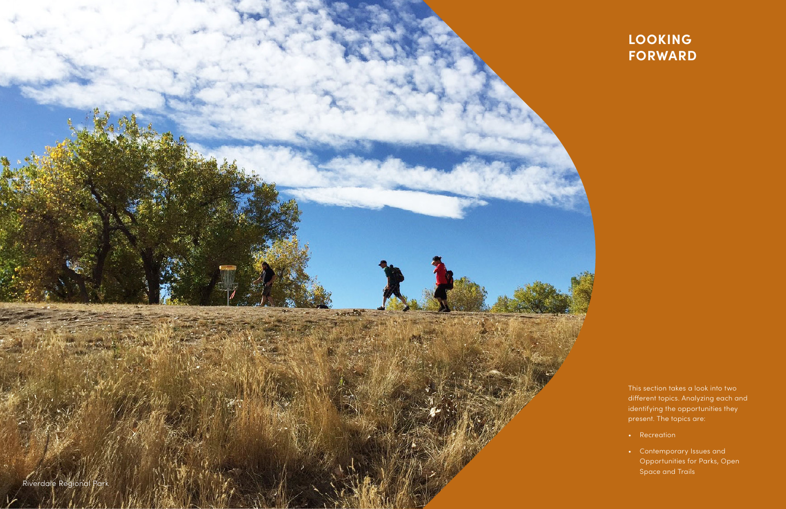This section takes a look into two different topics. Analyzing each and identifying the opportunities they present. The topics are:

- Recreation
- Contemporary Issues and Opportunities for Parks, Open Space and Trails



# **LOOKING FORWARD**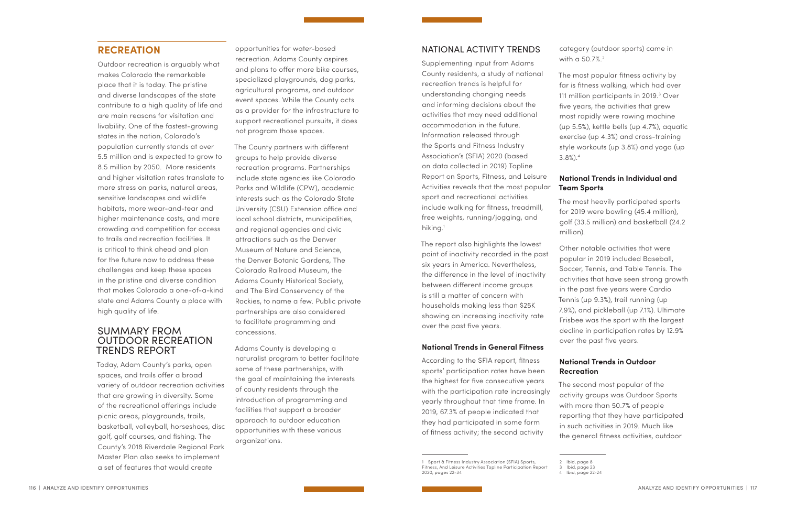# **RECREATION**

Outdoor recreation is arguably what makes Colorado the remarkable place that it is today. The pristine and diverse landscapes of the state contribute to a high quality of life and are main reasons for visitation and livability. One of the fastest-growing states in the nation, Colorado's population currently stands at over 5.5 million and is expected to grow to 8.5 million by 2050. More residents and higher visitation rates translate to more stress on parks, natural areas, sensitive landscapes and wildlife habitats, more wear-and-tear and higher maintenance costs, and more crowding and competition for access to trails and recreation facilities. It is critical to think ahead and plan for the future now to address these challenges and keep these spaces in the pristine and diverse condition that makes Colorado a one-of-a-kind state and Adams County a place with high quality of life.

# SUMMARY FROM OUTDOOR RECREATION TRENDS REPORT

Today, Adam County's parks, open spaces, and trails offer a broad variety of outdoor recreation activities that are growing in diversity. Some of the recreational offerings include picnic areas, playgrounds, trails, basketball, volleyball, horseshoes, disc golf, golf courses, and fishing. The County's 2018 Riverdale Regional Park Master Plan also seeks to implement a set of features that would create

Supplementing input from Adams County residents, a study of national recreation trends is helpful for understanding changing needs and informing decisions about the activities that may need additional accommodation in the future. Information released through the Sports and Fitness Industry Association's (SFIA) 2020 (based on data collected in 2019) Topline Report on Sports, Fitness, and Leisure Activities reveals that the most popular sport and recreational activities include walking for fitness, treadmill, free weights, running/jogging, and hiking.<sup>1</sup>

opportunities for water-based recreation. Adams County aspires and plans to offer more bike courses, specialized playgrounds, dog parks, agricultural programs, and outdoor event spaces. While the County acts as a provider for the infrastructure to support recreational pursuits, it does not program those spaces.

category (outdoor sports) came in with a 50.7%.<sup>2</sup>

The County partners with different groups to help provide diverse recreation programs. Partnerships include state agencies like Colorado Parks and Wildlife (CPW), academic interests such as the Colorado State University (CSU) Extension office and local school districts, municipalities, and regional agencies and civic attractions such as the Denver Museum of Nature and Science, the Denver Botanic Gardens, The Colorado Railroad Museum, the Adams County Historical Society, and The Bird Conservancy of the Rockies, to name a few. Public private partnerships are also considered to facilitate programming and concessions.

Adams County is developing a naturalist program to better facilitate some of these partnerships, with the goal of maintaining the interests of county residents through the introduction of programming and facilities that support a broader approach to outdoor education opportunities with these various organizations.

### NATIONAL ACTIVITY TRENDS

The report also highlights the lowest point of inactivity recorded in the past six years in America. Nevertheless, the difference in the level of inactivity between different income groups is still a matter of concern with households making less than \$25K showing an increasing inactivity rate over the past five years.

#### **National Trends in General Fitness**

According to the SFIA report, fitness sports' participation rates have been the highest for five consecutive years with the participation rate increasingly yearly throughout that time frame. In 2019, 67.3% of people indicated that they had participated in some form of fitness activity; the second activity

1 Sport & Fitness Industry Association (SFIA) Sports, Fitness, And Leisure Activities Topline Participation Report 2020, pages 22-34

The most popular fitness activity by far is fitness walking, which had over 111 million participants in 2019.<sup>3</sup> Over five years, the activities that grew most rapidly were rowing machine (up 5.5%), kettle bells (up 4.7%), aquatic exercise (up 4.3%) and cross-training style workouts (up 3.8%) and yoga (up

3.8%).4

# **National Trends in Individual and Team Sports**

The most heavily participated sports for 2019 were bowling (45.4 million), golf (33.5 million) and basketball (24.2

million).

Other notable activities that were popular in 2019 included Baseball, Soccer, Tennis, and Table Tennis. The activities that have seen strong growth in the past five years were Cardio Tennis (up 9.3%), trail running (up 7.9%), and pickleball (up 7.1%). Ultimate Frisbee was the sport with the largest decline in participation rates by 12.9% over the past five years.

## **National Trends in Outdoor Recreation**

The second most popular of the activity groups was Outdoor Sports with more than 50.7% of people reporting that they have participated in such activities in 2019. Much like the general fitness activities, outdoor

<sup>2</sup> Ibid, page 8

<sup>3</sup> Ibid, page 23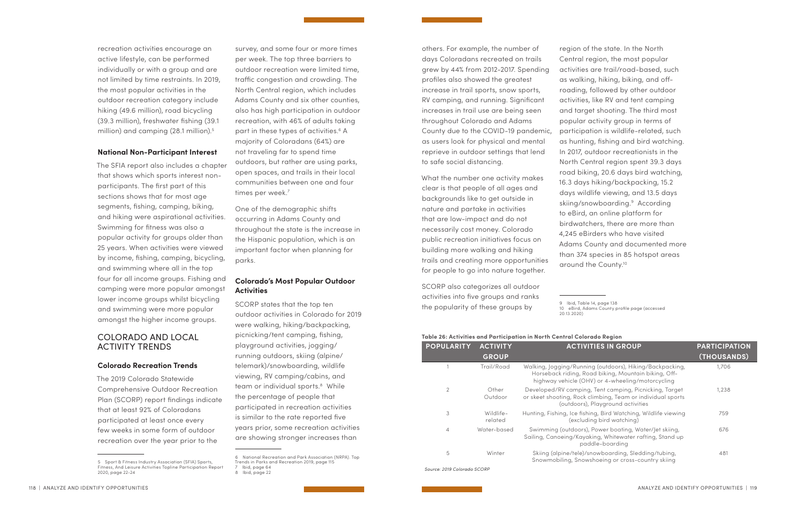recreation activities encourage an active lifestyle, can be performed individually or with a group and are not limited by time restraints. In 2019, the most popular activities in the outdoor recreation category include hiking (49.6 million), road bicycling (39.3 million), freshwater fishing (39.1 million) and camping (28.1 million).<sup>5</sup>

#### **National Non-Participant Interest**

survey, and some four or more times per week. The top three barriers to outdoor recreation were limited time, traffic congestion and crowding. The North Central region, which includes Adams County and six other counties, also has high participation in outdoor recreation, with 46% of adults taking part in these types of activities.6 A majority of Coloradans (64%) are not traveling far to spend time outdoors, but rather are using parks, open spaces, and trails in their local communities between one and four times per week.<sup>7</sup>

The SFIA report also includes a chapter that shows which sports interest nonparticipants. The first part of this sections shows that for most age segments, fishing, camping, biking, and hiking were aspirational activities. Swimming for fitness was also a popular activity for groups older than 25 years. When activities were viewed by income, fishing, camping, bicycling, and swimming where all in the top four for all income groups. Fishing and camping were more popular amongst lower income groups whilst bicycling and swimming were more popular amongst the higher income groups.

# COLORADO AND LOCAL ACTIVITY TRENDS

#### **Colorado Recreation Trends**

The 2019 Colorado Statewide Comprehensive Outdoor Recreation Plan (SCORP) report findings indicate that at least 92% of Coloradans participated at least once every few weeks in some form of outdoor recreation over the year prior to the

One of the demographic shifts occurring in Adams County and throughout the state is the increase in the Hispanic population, which is an important factor when planning for parks.

#### **Colorado's Most Popular Outdoor Activities**

SCORP states that the top ten outdoor activities in Colorado for 2019 were walking, hiking/backpacking, picnicking/tent camping, fishing, playground activities, jogging/ running outdoors, skiing (alpine/ telemark)/snowboarding, wildlife viewing, RV camping/cabins, and team or individual sports.<sup>8</sup> While the percentage of people that participated in recreation activities is similar to the rate reported five years prior, some recreation activities are showing stronger increases than

others. For example, the number of days Coloradans recreated on trails grew by 44% from 2012-2017. Spending profiles also showed the greatest increase in trail sports, snow sports, RV camping, and running. Significant increases in trail use are being seen throughout Colorado and Adams County due to the COVID-19 pandemic, as users look for physical and mental reprieve in outdoor settings that lend to safe social distancing.

What the number one activity makes clear is that people of all ages and backgrounds like to get outside in nature and partake in activities that are low-impact and do not necessarily cost money. Colorado public recreation initiatives focus on building more walking and hiking trails and creating more opportunities for people to go into nature together.

SCORP also categorizes all outdoor activities into five groups and ranks the popularity of these groups by

region of the state. In the North Central region, the most popular activities are trail/road-based, such as walking, hiking, biking, and offroading, followed by other outdoor activities, like RV and tent camping and target shooting. The third most popular activity group in terms of participation is wildlife-related, such as hunting, fishing and bird watching. In 2017, outdoor recreationists in the North Central region spent 39.3 days road biking, 20.6 days bird watching, 16.3 days hiking/backpacking, 15.2 days wildlife viewing, and 13.5 days skiing/snowboarding.9 According to eBird, an online platform for birdwatchers, there are more than 4,245 eBirders who have visited Adams County and documented more than 374 species in 85 hotspot areas around the County.10

20.13.2020)

# **Table 26: Activities and Participation in North Central Colorado Region**

| . Unit edition and a change and a change of the control of the control of the control of the control of the co |                                 |                                                                                                                                                                      |                                     |  |  |  |  |
|----------------------------------------------------------------------------------------------------------------|---------------------------------|----------------------------------------------------------------------------------------------------------------------------------------------------------------------|-------------------------------------|--|--|--|--|
| <b>POPULARITY</b>                                                                                              | <b>ACTIVITY</b><br><b>GROUP</b> | <b>ACTIVITIES IN GROUP</b>                                                                                                                                           | <b>PARTICIPATION</b><br>(THOUSANDS) |  |  |  |  |
|                                                                                                                | Trail/Road                      | Walking, Jogging/Running (outdoors), Hiking/Backpacking,<br>Horseback riding, Road biking, Mountain biking, Off-<br>highway vehicle (OHV) or 4-wheeling/motorcycling | 1,706                               |  |  |  |  |
| 2                                                                                                              | Other<br>Outdoor                | Developed/RV camping, Tent camping, Picnicking, Target<br>or skeet shooting, Rock climbing, Team or individual sports<br>(outdoors), Playground activities           | 1,238                               |  |  |  |  |
| 3                                                                                                              | Wildlife-<br>related            | Hunting, Fishing, Ice fishing, Bird Watching, Wildlife viewing<br>(excluding bird watching)                                                                          | 759                                 |  |  |  |  |
| $\overline{4}$                                                                                                 | Water-based                     | Swimming (outdoors), Power boating, Water/Jet skiing,<br>Sailing, Canoeing/Kayaking, Whitewater rafting, Stand up<br>paddle-boarding                                 | 676                                 |  |  |  |  |
| 5                                                                                                              | Winter                          | Skiing (alpine/tele)/snowboarding, Sledding/tubing,<br>Snowmabiling Snowsboging or cross-country skiing                                                              | 481                                 |  |  |  |  |

| Source: 2019 Colorado SCOR |  |  |  |
|----------------------------|--|--|--|
|                            |  |  |  |

*Source: 2019 Colorado SCORP*

<sup>5</sup> Sport & Fitness Industry Association (SFIA) Sports, Fitness, And Leisure Activities Topline Participation Report 2020, page 22-24

<sup>6</sup> National Recreation and Park Association (NRPA). Top Trends in Parks and Recreation 2019, page 115 7 Ibid, page 64

<sup>8</sup> Ibid, page 22

<sup>9</sup> Ibid, Table 14, page 138

<sup>10</sup> eBird, Adams County profile page (accessed

Snowmobiling, Snowshoeing or cross-country skiing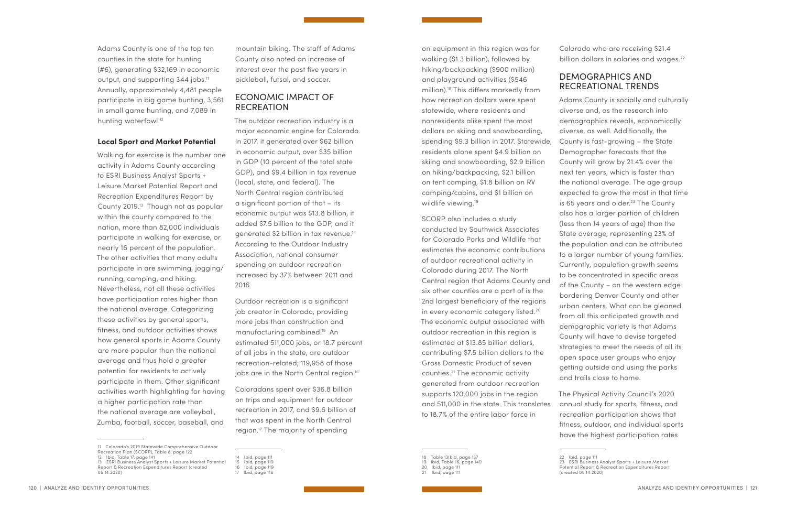Adams County is one of the top ten counties in the state for hunting (#6), generating \$32,169 in economic output, and supporting 344 jobs.<sup>11</sup> Annually, approximately 4,481 people participate in big game hunting, 3,561 in small game hunting, and 7,089 in hunting waterfowl.<sup>12</sup>

#### **Local Sport and Market Potential**

Walking for exercise is the number one activity in Adams County according to ESRI Business Analyst Sports + Leisure Market Potential Report and Recreation Expenditures Report by County 2019.13 Though not as popular within the county compared to the nation, more than 82,000 individuals participate in walking for exercise, or nearly 16 percent of the population. The other activities that many adults participate in are swimming, jogging/ running, camping, and hiking. Nevertheless, not all these activities have participation rates higher than the national average. Categorizing these activities by general sports, fitness, and outdoor activities shows how general sports in Adams County are more popular than the national average and thus hold a greater potential for residents to actively participate in them. Other significant activities worth highlighting for having a higher participation rate than the national average are volleyball, Zumba, football, soccer, baseball, and

Outdoor recreation is a significant job creator in Colorado, providing more jobs than construction and manufacturing combined.15 An estimated 511,000 jobs, or 18.7 percent of all jobs in the state, are outdoor recreation-related; 119,958 of those jobs are in the North Central region.<sup>16</sup>

11 Colorado's 2019 Statewide Comprehensive Outdoor Recreation Plan (SCORP), Table 8, page 122

on equipment in this region was for walking (\$1.3 billion), followed by hiking/backpacking (\$900 million) and playground activities (\$546 million).18 This differs markedly from how recreation dollars were spent statewide, where residents and nonresidents alike spent the most dollars on skiing and snowboarding, spending \$9.3 billion in 2017. Statewide, residents alone spent \$4.9 billion on skiing and snowboarding, \$2.9 billion on hiking/backpacking, \$2.1 billion on tent camping, \$1.8 billion on RV camping/cabins, and \$1 billion on wildlife viewing.<sup>19</sup>

- 12 Ibid, Table 17, page 141
- 13 ESRI Business Analyst Sports + Leisure Market Potential Report & Recreation Expenditures Report (created 05.14.2020)

mountain biking. The staff of Adams County also noted an increase of interest over the past five years in pickleball, futsal, and soccer.

# ECONOMIC IMPACT OF RECREATION

The outdoor recreation industry is a major economic engine for Colorado. In 2017, it generated over \$62 billion in economic output, over \$35 billion in GDP (10 percent of the total state GDP), and \$9.4 billion in tax revenue (local, state, and federal). The North Central region contributed a significant portion of that – its economic output was \$13.8 billion, it added \$7.5 billion to the GDP, and it generated \$2 billion in tax revenue.14 According to the Outdoor Industry Association, national consumer spending on outdoor recreation increased by 37% between 2011 and 2016.

Colorado who are receiving \$21.4 billion dollars in salaries and wages.<sup>22</sup>

Coloradans spent over \$36.8 billion on trips and equipment for outdoor recreation in 2017, and \$9.6 billion of that was spent in the North Central region.17 The majority of spending

17 Ibid, page 116

SCORP also includes a study conducted by Southwick Associates for Colorado Parks and Wildlife that estimates the economic contributions of outdoor recreational activity in Colorado during 2017. The North Central region that Adams County and six other counties are a part of is the 2nd largest beneficiary of the regions in every economic category listed.<sup>20</sup> The economic output associated with outdoor recreation in this region is estimated at \$13.85 billion dollars, contributing \$7.5 billion dollars to the Gross Domestic Product of seven counties.21 The economic activity generated from outdoor recreation supports 120,000 jobs in the region and 511,000 in the state. This translates to 18.7% of the entire labor force in

 Table 13Ibid, page 137 Ibid, Table 16, page 140 Ibid, page 111 21 Ibid, page 111

# DEMOGRAPHICS AND RECREATIONAL TRENDS

Adams County is socially and culturally diverse and, as the research into demographics reveals, economically diverse, as well. Additionally, the County is fast-growing – the State Demographer forecasts that the County will grow by 21.4% over the next ten years, which is faster than the national average. The age group expected to grow the most in that time is 65 years and older.<sup>23</sup> The County also has a larger portion of children (less than 14 years of age) than the State average, representing 23% of the population and can be attributed to a larger number of young families. Currently, population growth seems to be concentrated in specific areas of the County – on the western edge bordering Denver County and other urban centers. What can be gleaned from all this anticipated growth and demographic variety is that Adams County will have to devise targeted strategies to meet the needs of all its open space user groups who enjoy getting outside and using the parks and trails close to home. The Physical Activity Council's 2020

annual study for sports, fitness, and recreation participation shows that fitness, outdoor, and individual sports have the highest participation rates

<sup>14</sup> Ibid, page 111

<sup>15</sup> Ibid, page 119

<sup>16</sup> Ibid, page 119

<sup>22</sup> Ibid, page 111

<sup>23</sup> ESRI Business Analyst Sports + Leisure Market

Potential Report & Recreation Expenditures Report

<sup>(</sup>created 05.14.2020)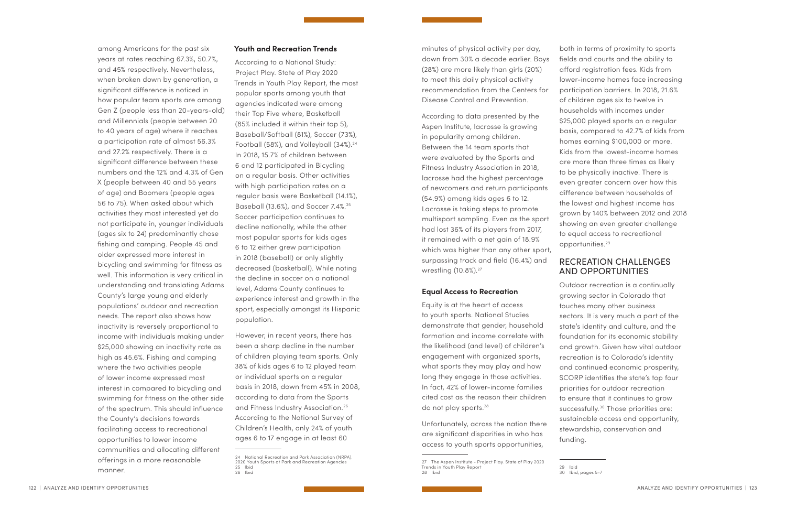among Americans for the past six years at rates reaching 67.3%, 50.7%, and 45% respectively. Nevertheless, when broken down by generation, a significant difference is noticed in how popular team sports are among Gen Z (people less than 20-years-old) and Millennials (people between 20 to 40 years of age) where it reaches a participation rate of almost 56.3% and 27.2% respectively. There is a significant difference between these numbers and the 12% and 4.3% of Gen X (people between 40 and 55 years of age) and Boomers (people ages 56 to 75). When asked about which activities they most interested yet do not participate in, younger individuals (ages six to 24) predominantly chose fishing and camping. People 45 and older expressed more interest in bicycling and swimming for fitness as well. This information is very critical in understanding and translating Adams County's large young and elderly populations' outdoor and recreation needs. The report also shows how inactivity is reversely proportional to income with individuals making under \$25,000 showing an inactivity rate as high as 45.6%. Fishing and camping where the two activities people of lower income expressed most interest in compared to bicycling and swimming for fitness on the other side of the spectrum. This should influence the County's decisions towards facilitating access to recreational opportunities to lower income communities and allocating different offerings in a more reasonable manner.

#### **Youth and Recreation Trends**

According to data presented by the Aspen Institute, lacrosse is growing in popularity among children. Between the 14 team sports that were evaluated by the Sports and Fitness Industry Association in 2018, lacrosse had the highest percentage of newcomers and return participants (54.9%) among kids ages 6 to 12. Lacrosse is taking steps to promote multisport sampling. Even as the sport had lost 36% of its players from 2017, it remained with a net gain of 18.9% which was higher than any other sport, surpassing track and field (16.4%) and wrestling (10.8%).<sup>27</sup>

According to a National Study: Project Play. State of Play 2020 Trends in Youth Play Report, the most popular sports among youth that agencies indicated were among their Top Five where, Basketball (85% included it within their top 5), Baseball/Softball (81%), Soccer (73%), Football (58%), and Volleyball (34%).<sup>24</sup> In 2018, 15.7% of children between 6 and 12 participated in Bicycling on a regular basis. Other activities with high participation rates on a regular basis were Basketball (14.1%), Baseball (13.6%), and Soccer 7.4%.25 Soccer participation continues to decline nationally, while the other most popular sports for kids ages 6 to 12 either grew participation in 2018 (baseball) or only slightly decreased (basketball). While noting the decline in soccer on a national level, Adams County continues to experience interest and growth in the sport, especially amongst its Hispanic population.

However, in recent years, there has been a sharp decline in the number of children playing team sports. Only 38% of kids ages 6 to 12 played team or individual sports on a regular basis in 2018, down from 45% in 2008, according to data from the Sports and Fitness Industry Association.26 According to the National Survey of Children's Health, only 24% of youth ages 6 to 17 engage in at least 60

minutes of physical activity per day, down from 30% a decade earlier. Boys (28%) are more likely than girls (20%) to meet this daily physical activity recommendation from the Centers for Disease Control and Prevention.

#### **Equal Access to Recreation**

Equity is at the heart of access to youth sports. National Studies demonstrate that gender, household formation and income correlate with the likelihood (and level) of children's engagement with organized sports, what sports they may play and how long they engage in those activities. In fact, 42% of lower-income families cited cost as the reason their children do not play sports.28

Unfortunately, across the nation there are significant disparities in who has access to youth sports opportunities,

both in terms of proximity to sports fields and courts and the ability to afford registration fees. Kids from lower-income homes face increasing participation barriers. In 2018, 21.6% of children ages six to twelve in households with incomes under \$25,000 played sports on a regular basis, compared to 42.7% of kids from homes earning \$100,000 or more. Kids from the lowest-income homes are more than three times as likely to be physically inactive. There is even greater concern over how this difference between households of the lowest and highest income has grown by 140% between 2012 and 2018 showing an even greater challenge to equal access to recreational opportunities.29

# RECREATION CHALLENGES AND OPPORTUNITIES

Outdoor recreation is a continually growing sector in Colorado that touches many other business sectors. It is very much a part of the state's identity and culture, and the foundation for its economic stability and growth. Given how vital outdoor recreation is to Colorado's identity and continued economic prosperity, SCORP identifies the state's top four priorities for outdoor recreation to ensure that it continues to grow successfully.<sup>30</sup> Those priorities are: sustainable access and opportunity, stewardship, conservation and funding.

<sup>24</sup> National Recreation and Park Association (NRPA). 2020 Youth Sports at Park and Recreation Agencies 25 Ibid

<sup>26</sup> Ibid

<sup>27</sup> The Aspen Institute - Project Play. State of Play 2020 Trends in Youth Play Report 28 Ibid

<sup>30</sup> Ibid, pages 5-7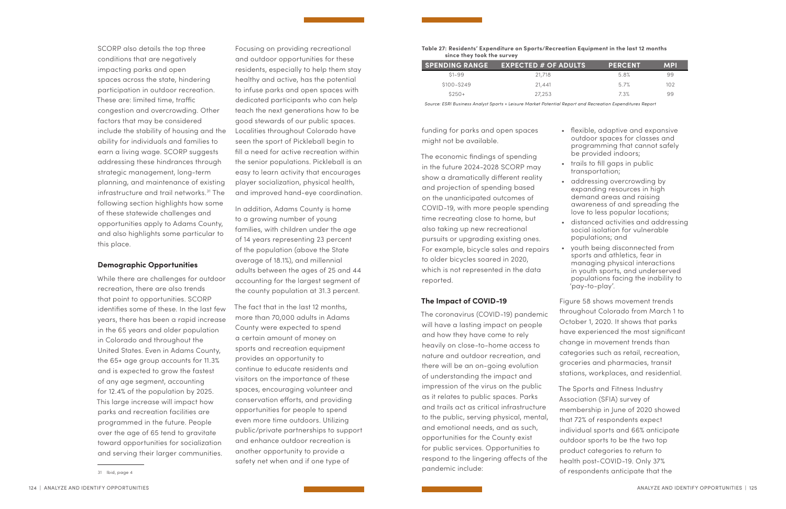SCORP also details the top three conditions that are negatively impacting parks and open spaces across the state, hindering participation in outdoor recreation. These are: limited time, traffic congestion and overcrowding. Other factors that may be considered include the stability of housing and the ability for individuals and families to earn a living wage. SCORP suggests addressing these hindrances through strategic management, long-term planning, and maintenance of existing infrastructure and trail networks.<sup>31</sup> The following section highlights how some of these statewide challenges and opportunities apply to Adams County, and also highlights some particular to this place.

#### **Demographic Opportunities**

While there are challenges for outdoor recreation, there are also trends that point to opportunities. SCORP identifies some of these. In the last few years, there has been a rapid increase in the 65 years and older population in Colorado and throughout the United States. Even in Adams County, the 65+ age group accounts for 11.3% and is expected to grow the fastest of any age segment, accounting for 12.4% of the population by 2025. This large increase will impact how parks and recreation facilities are programmed in the future. People over the age of 65 tend to gravitate toward opportunities for socialization and serving their larger communities.

31 Ibid, page 4

Focusing on providing recreational and outdoor opportunities for these residents, especially to help them stay healthy and active, has the potential to infuse parks and open spaces with dedicated participants who can help teach the next generations how to be good stewards of our public spaces. Localities throughout Colorado have seen the sport of Pickleball begin to fill a need for active recreation within the senior populations. Pickleball is an easy to learn activity that encourages player socialization, physical health, and improved hand-eye coordination.

In addition, Adams County is home to a growing number of young families, with children under the age of 14 years representing 23 percent of the population (above the State average of 18.1%), and millennial adults between the ages of 25 and 44 accounting for the largest segment of the county population at 31.3 percent.

The fact that in the last 12 months, more than 70,000 adults in Adams County were expected to spend a certain amount of money on sports and recreation equipment provides an opportunity to continue to educate residents and visitors on the importance of these spaces, encouraging volunteer and conservation efforts, and providing opportunities for people to spend even more time outdoors. Utilizing public/private partnerships to support and enhance outdoor recreation is another opportunity to provide a safety net when and if one type of

funding for parks and open spaces might not be available.

The economic findings of spending in the future 2024-2028 SCORP may show a dramatically different reality and projection of spending based on the unanticipated outcomes of COVID-19, with more people spending time recreating close to home, but also taking up new recreational pursuits or upgrading existing ones. For example, bicycle sales and repairs to older bicycles soared in 2020, which is not represented in the data reported.

#### **The Impact of COVID-19**

The coronavirus (COVID-19) pandemic will have a lasting impact on people and how they have come to rely heavily on close-to-home access to nature and outdoor recreation, and there will be an on-going evolution of understanding the impact and impression of the virus on the public as it relates to public spaces. Parks and trails act as critical infrastructure to the public, serving physical, mental, and emotional needs, and as such, opportunities for the County exist for public services. Opportunities to respond to the lingering affects of the pandemic include:

- flexible, adaptive and expansive outdoor spaces for classes and programming that cannot safely be provided indoors;
- trails to fill gaps in public transportation;
- addressing overcrowding by expanding resources in high demand areas and raising awareness of and spreading the love to less popular locations;
- distanced activities and addressing social isolation for vulnerable populations; and
- youth being disconnected from sports and athletics, fear in managing physical interactions in youth sports, and underserved populations facing the inability to 'pay-to-play'.
- Figure 58 shows movement trends throughout Colorado from March 1 to October 1, 2020. It shows that parks have experienced the most significant change in movement trends than categories such as retail, recreation, groceries and pharmacies, transit stations, workplaces, and residential.
- The Sports and Fitness Industry Association (SFIA) survey of membership in June of 2020 showed that 72% of respondents expect individual sports and 66% anticipate outdoor sports to be the two top product categories to return to health post-COVID-19. Only 37% of respondents anticipate that the

**Table 27: Residents' Expenditure on Sports/Recreation Equipment in the last 12 months since they took the survey**

| <b>SPENDING RANGE</b> | <b>EXPECTED # OF ADULTS</b> | <b>PERCENT</b> | <b>MPI</b> |
|-----------------------|-----------------------------|----------------|------------|
| $$1 - 99$             | 21,718                      | 58%            | 99         |
| \$100-\$249           | 21.441                      | 57%            | 102        |
| $$250+$               | 27,253                      | 73%            | 99         |

*Source: ESRI Business Analyst Sports + Leisure Market Potential Report and Recreation Expenditures Report*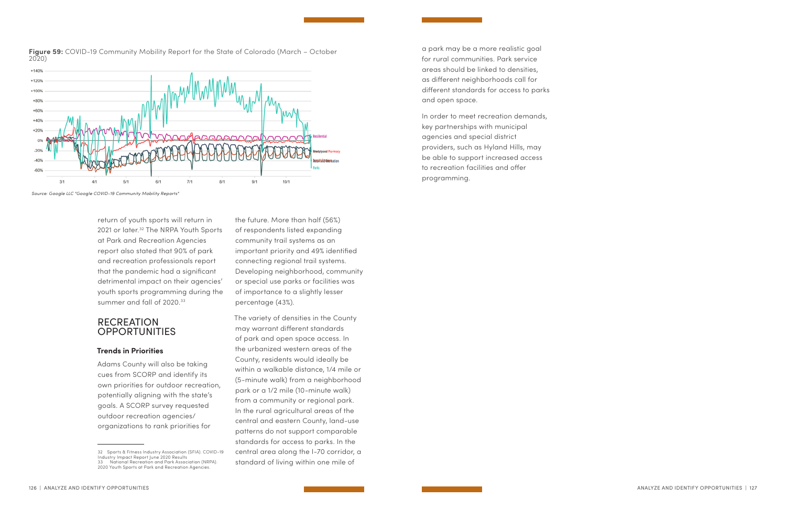return of youth sports will return in 2021 or later.<sup>32</sup> The NRPA Youth Sports at Park and Recreation Agencies report also stated that 90% of park and recreation professionals report that the pandemic had a significant detrimental impact on their agencies' youth sports programming during the summer and fall of 2020.<sup>33</sup>

# RECREATION **OPPORTUNITIES**

#### **Trends in Priorities**

Adams County will also be taking cues from SCORP and identify its own priorities for outdoor recreation, potentially aligning with the state's goals. A SCORP survey requested outdoor recreation agencies/ organizations to rank priorities for

the future. More than half (56%) of respondents listed expanding community trail systems as an important priority and 49% identified connecting regional trail systems. Developing neighborhood, community or special use parks or facilities was of importance to a slightly lesser percentage (43%).

The variety of densities in the County may warrant different standards of park and open space access. In the urbanized western areas of the County, residents would ideally be within a walkable distance, 1/4 mile or (5-minute walk) from a neighborhood park or a 1/2 mile (10-minute walk) from a community or regional park. In the rural agricultural areas of the central and eastern County, land-use patterns do not support comparable standards for access to parks. In the central area along the I-70 corridor, a standard of living within one mile of



**Figure 59:** COVID-19 Community Mobility Report for the State of Colorado (March – October 2020)

*Source: Google LLC "Google COVID-19 Community Mobility Reports"*

a park may be a more realistic goal for rural communities. Park service areas should be linked to densities, as different neighborhoods call for different standards for access to parks and open space.

In order to meet recreation demands, key partnerships with municipal agencies and special district providers, such as Hyland Hills, may be able to support increased access to recreation facilities and offer programming.

<sup>32</sup> Sports & Fitness Industry Association (SFIA). COVID-19 Industry Impact Report June 2020 Results 33 National Recreation and Park Association (NRPA). 2020 Youth Sports at Park and Recreation Agencies.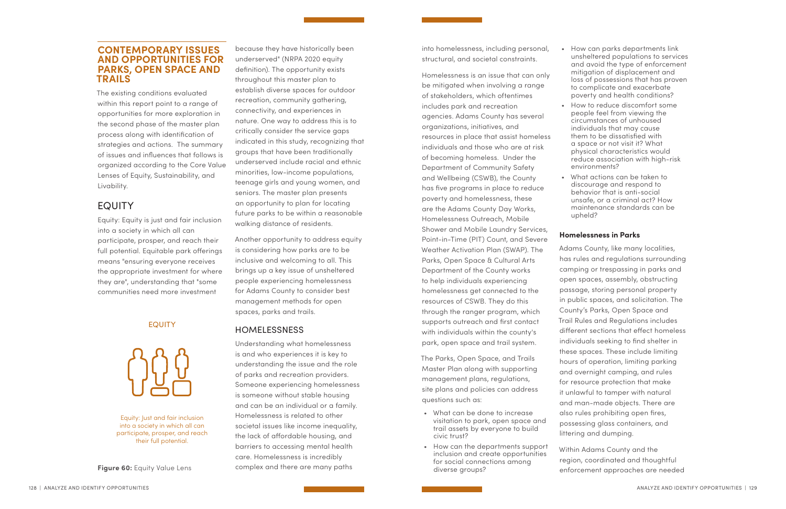# **CONTEMPORARY ISSUES AND OPPORTUNITIES FOR PARKS, OPEN SPACE AND TRAILS**

The existing conditions evaluated within this report point to a range of opportunities for more exploration in the second phase of the master plan process along with identification of strategies and actions. The summary of issues and influences that follows is organized according to the Core Value Lenses of Equity, Sustainability, and Livability.

# EQUITY

Equity: Equity is just and fair inclusion into a society in which all can participate, prosper, and reach their full potential. Equitable park offerings means "ensuring everyone receives the appropriate investment for where they are", understanding that "some communities need more investment

because they have historically been underserved" (NRPA 2020 equity definition). The opportunity exists throughout this master plan to establish diverse spaces for outdoor recreation, community gathering, connectivity, and experiences in nature. One way to address this is to critically consider the service gaps indicated in this study, recognizing that groups that have been traditionally underserved include racial and ethnic minorities, low-income populations, teenage girls and young women, and seniors. The master plan presents an opportunity to plan for locating future parks to be within a reasonable walking distance of residents.

Another opportunity to address equity is considering how parks are to be inclusive and welcoming to all. This brings up a key issue of unsheltered people experiencing homelessness for Adams County to consider best management methods for open spaces, parks and trails.

- What can be done to increase visitation to park, open space and trail assets by everyone to build civic trust?
- How can the departments support inclusion and create opportunities for social connections among diverse groups? Figure 60: Equity Value Lens complex and there are many paths diverse groups? enforcement approaches are needed

# HOMELESSNESS

Understanding what homelessness is and who experiences it is key to understanding the issue and the role of parks and recreation providers. Someone experiencing homelessness is someone without stable housing and can be an individual or a family. Homelessness is related to other societal issues like income inequality, the lack of affordable housing, and barriers to accessing mental health care. Homelessness is incredibly complex and there are many paths

into homelessness, including personal, structural, and societal constraints.

Homelessness is an issue that can only be mitigated when involving a range of stakeholders, which oftentimes includes park and recreation agencies. Adams County has several organizations, initiatives, and resources in place that assist homeless individuals and those who are at risk of becoming homeless. Under the Department of Community Safety and Wellbeing (CSWB), the County has five programs in place to reduce poverty and homelessness, these are the Adams County Day Works, Homelessness Outreach, Mobile Shower and Mobile Laundry Services, Point-in-Time (PIT) Count, and Severe Weather Activation Plan (SWAP). The Parks, Open Space & Cultural Arts Department of the County works to help individuals experiencing homelessness get connected to the resources of CSWB. They do this through the ranger program, which supports outreach and first contact with individuals within the county's park, open space and trail system.

The Parks, Open Space, and Trails Master Plan along with supporting management plans, regulations, site plans and policies can address questions such as:

• How can parks departments link unsheltered populations to services and avoid the type of enforcement mitigation of displacement and loss of possessions that has proven to complicate and exacerbate poverty and health conditions?

• How to reduce discomfort some people feel from viewing the circumstances of unhoused individuals that may cause them to be dissatisfied with a space or not visit it? What physical characteristics would reduce association with high-risk environments?

• What actions can be taken to discourage and respond to behavior that is anti-social unsafe, or a criminal act? How maintenance standards can be upheld?

### **Homelessness in Parks**

Adams County, like many localities, has rules and regulations surrounding camping or trespassing in parks and open spaces, assembly, obstructing passage, storing personal property in public spaces, and solicitation. The County's Parks, Open Space and Trail Rules and Regulations includes different sections that effect homeless individuals seeking to find shelter in these spaces. These include limiting hours of operation, limiting parking and overnight camping, and rules for resource protection that make it unlawful to tamper with natural and man-made objects. There are also rules prohibiting open fires, possessing glass containers, and littering and dumping.

Within Adams County and the region, coordinated and thoughtful

Equity: Just and fair inclusion into a society in which all can participate, prosper, and reach their full potential.

# EQUITY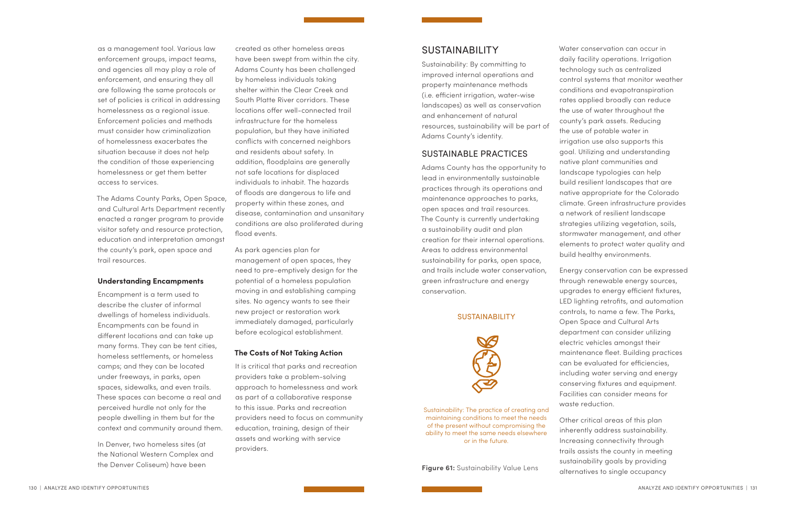as a management tool. Various law enforcement groups, impact teams, and agencies all may play a role of enforcement, and ensuring they all are following the same protocols or set of policies is critical in addressing homelessness as a regional issue. Enforcement policies and methods must consider how criminalization of homelessness exacerbates the situation because it does not help the condition of those experiencing homelessness or get them better access to services.

The Adams County Parks, Open Space, and Cultural Arts Department recently enacted a ranger program to provide visitor safety and resource protection, education and interpretation amongst the county's park, open space and trail resources.

#### **Understanding Encampments**

Encampment is a term used to describe the cluster of informal dwellings of homeless individuals. Encampments can be found in different locations and can take up many forms. They can be tent cities, homeless settlements, or homeless camps; and they can be located under freeways, in parks, open spaces, sidewalks, and even trails. These spaces can become a real and perceived hurdle not only for the people dwelling in them but for the context and community around them.

In Denver, two homeless sites (at the National Western Complex and the Denver Coliseum) have been

created as other homeless areas have been swept from within the city. Adams County has been challenged by homeless individuals taking shelter within the Clear Creek and South Platte River corridors. These locations offer well-connected trail infrastructure for the homeless population, but they have initiated conflicts with concerned neighbors and residents about safety. In addition, floodplains are generally not safe locations for displaced individuals to inhabit. The hazards of floods are dangerous to life and property within these zones, and disease, contamination and unsanitary conditions are also proliferated during flood events.

As park agencies plan for management of open spaces, they need to pre-emptively design for the potential of a homeless population moving in and establishing camping sites. No agency wants to see their new project or restoration work immediately damaged, particularly before ecological establishment.

#### **The Costs of Not Taking Action**

It is critical that parks and recreation providers take a problem-solving approach to homelessness and work as part of a collaborative response to this issue. Parks and recreation providers need to focus on community education, training, design of their assets and working with service providers.

# SUSTAINABILITY

Sustainability: By committing to improved internal operations and property maintenance methods (i.e. efficient irrigation, water-wise landscapes) as well as conservation and enhancement of natural resources, sustainability will be part of Adams County's identity.

#### SUSTAINABLE PRACTICES

Adams County has the opportunity to lead in environmentally sustainable practices through its operations and maintenance approaches to parks, open spaces and trail resources. The County is currently undertaking a sustainability audit and plan creation for their internal operations. Areas to address environmental sustainability for parks, open space, and trails include water conservation, green infrastructure and energy conservation.

#### **SUSTAINABILITY**



Water conservation can occur in daily facility operations. Irrigation technology such as centralized control systems that monitor weather conditions and evapotranspiration rates applied broadly can reduce the use of water throughout the county's park assets. Reducing the use of potable water in irrigation use also supports this goal. Utilizing and understanding native plant communities and landscape typologies can help build resilient landscapes that are native appropriate for the Colorado climate. Green infrastructure provides a network of resilient landscape strategies utilizing vegetation, soils, stormwater management, and other elements to protect water quality and build healthy environments. Energy conservation can be expressed through renewable energy sources, upgrades to energy efficient fixtures, LED lighting retrofits, and automation controls, to name a few. The Parks, Open Space and Cultural Arts department can consider utilizing electric vehicles amongst their maintenance fleet. Building practices can be evaluated for efficiencies, including water serving and energy conserving fixtures and equipment. Facilities can consider means for waste reduction. Other critical areas of this plan inherently address sustainability.

Increasing connectivity through trails assists the county in meeting sustainability goals by providing alternatives to single occupancy

Sustainability: The practice of creating and maintaining conditions to meet the needs of the present without compromising the ability to meet the same needs elsewhere or in the future.

**Figure 61:** Sustainability Value Lens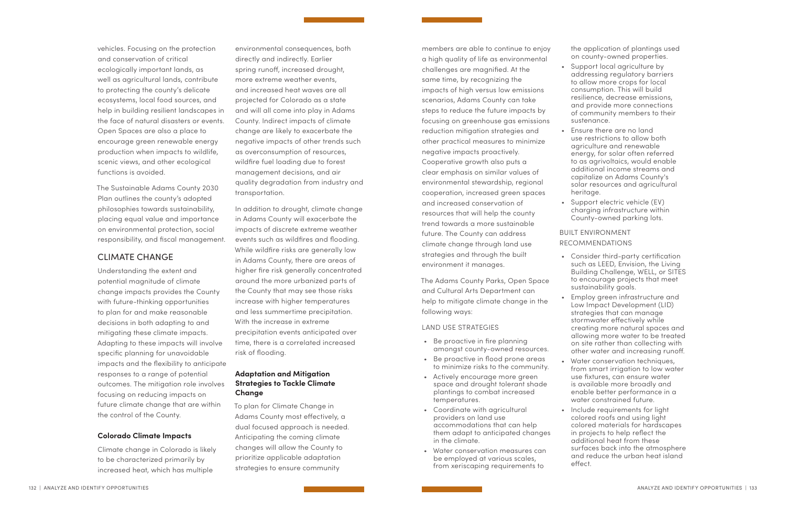vehicles. Focusing on the protection and conservation of critical ecologically important lands, as well as agricultural lands, contribute to protecting the county's delicate ecosystems, local food sources, and help in building resilient landscapes in the face of natural disasters or events. Open Spaces are also a place to encourage green renewable energy production when impacts to wildlife, scenic views, and other ecological functions is avoided.

The Sustainable Adams County 2030 Plan outlines the county's adopted philosophies towards sustainability, placing equal value and importance on environmental protection, social responsibility, and fiscal management.

# CLIMATE CHANGE

Understanding the extent and potential magnitude of climate change impacts provides the County with future-thinking opportunities to plan for and make reasonable decisions in both adapting to and mitigating these climate impacts. Adapting to these impacts will involve specific planning for unavoidable impacts and the flexibility to anticipate responses to a range of potential outcomes. The mitigation role involves focusing on reducing impacts on future climate change that are within the control of the County.

#### **Colorado Climate Impacts**

Climate change in Colorado is likely to be characterized primarily by increased heat, which has multiple

environmental consequences, both directly and indirectly. Earlier spring runoff, increased drought, more extreme weather events, and increased heat waves are all projected for Colorado as a state and will all come into play in Adams County. Indirect impacts of climate change are likely to exacerbate the negative impacts of other trends such as overconsumption of resources, wildfire fuel loading due to forest management decisions, and air quality degradation from industry and transportation.

In addition to drought, climate change in Adams County will exacerbate the impacts of discrete extreme weather events such as wildfires and flooding. While wildfire risks are generally low in Adams County, there are areas of higher fire risk generally concentrated around the more urbanized parts of the County that may see those risks increase with higher temperatures and less summertime precipitation. With the increase in extreme precipitation events anticipated over time, there is a correlated increased risk of flooding.

Support local agriculture by addressing regulatory barriers to allow more crops for local consumption. This will build resilience, decrease emissions, and provide more connections of community members to their sustenance.

Support electric vehicle (EV) charging infrastructure within County-owned parking lots.

### **Adaptation and Mitigation Strategies to Tackle Climate Change**

To plan for Climate Change in Adams County most effectively, a dual focused approach is needed. Anticipating the coming climate changes will allow the County to prioritize applicable adaptation strategies to ensure community

members are able to continue to enjoy a high quality of life as environmental challenges are magnified. At the same time, by recognizing the impacts of high versus low emissions scenarios, Adams County can take steps to reduce the future impacts by focusing on greenhouse gas emissions reduction mitigation strategies and other practical measures to minimize negative impacts proactively. Cooperative growth also puts a clear emphasis on similar values of environmental stewardship, regional cooperation, increased green spaces and increased conservation of resources that will help the county trend towards a more sustainable future. The County can address climate change through land use strategies and through the built environment it manages.

The Adams County Parks, Open Space and Cultural Arts Department can help to mitigate climate change in the following ways:

#### LAND USE STRATEGIES

- Be proactive in fire planning amongst county-owned resources.
- Be proactive in flood prone areas to minimize risks to the community.
- Actively encourage more green space and drought tolerant shade plantings to combat increased temperatures.
- Coordinate with agricultural providers on land use accommodations that can help them adapt to anticipated changes in the climate.
- Water conservation measures can be employed at various scales, from xeriscaping requirements to

132 | ANALYZE AND IDENTIFY OPPORTUNITIES | 133

the application of plantings used on county-owned properties.

• Ensure there are no land use restrictions to allow both agriculture and renewable energy, for solar often referred to as agrivoltaics, would enable additional income streams and capitalize on Adams County's solar resources and agricultural heritage.

#### BUILT ENVIRONMENT

#### RECOMMENDATIONS

• Consider third-party certification such as LEED, Envision, the Living Building Challenge, WELL, or SITES to encourage projects that meet sustainability goals.

• Employ green infrastructure and Low Impact Development (LID) strategies that can manage stormwater effectively while creating more natural spaces and allowing more water to be treated on site rather than collecting with other water and increasing runoff.

• Water conservation techniques, from smart irrigation to low water use fixtures, can ensure water is available more broadly and enable better performance in a water constrained future.

• Include requirements for light colored roofs and using light colored materials for hardscapes in projects to help reflect the additional heat from these surfaces back into the atmosphere and reduce the urban heat island effect.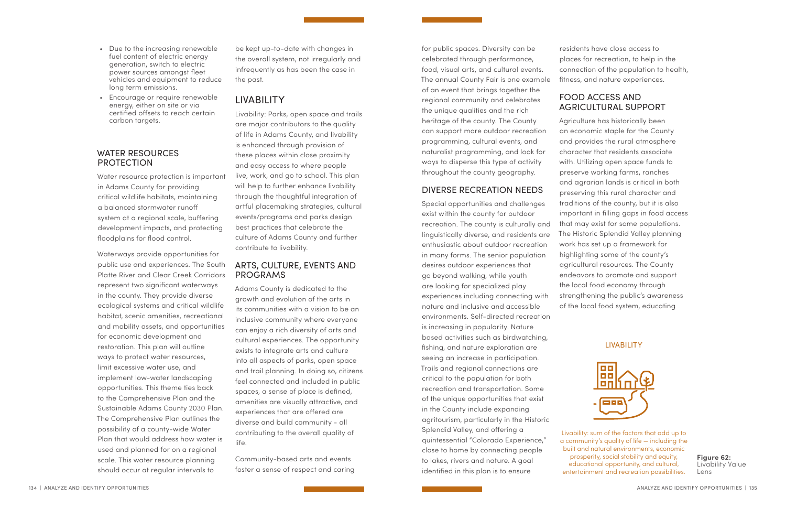- Due to the increasing renewable fuel content of electric energy generation, switch to electric power sources amongst fleet vehicles and equipment to reduce long term emissions.
- Encourage or require renewable energy, either on site or via certified offsets to reach certain carbon targets.

# WATER RESOURCES PROTECTION

Water resource protection is important in Adams County for providing critical wildlife habitats, maintaining a balanced stormwater runoff system at a regional scale, buffering development impacts, and protecting floodplains for flood control.

Waterways provide opportunities for public use and experiences. The South Platte River and Clear Creek Corridors represent two significant waterways in the county. They provide diverse ecological systems and critical wildlife habitat, scenic amenities, recreational and mobility assets, and opportunities for economic development and restoration. This plan will outline ways to protect water resources, limit excessive water use, and implement low-water landscaping opportunities. This theme ties back to the Comprehensive Plan and the Sustainable Adams County 2030 Plan. The Comprehensive Plan outlines the possibility of a county-wide Water Plan that would address how water is used and planned for on a regional scale. This water resource planning should occur at regular intervals to

be kept up-to-date with changes in the overall system, not irregularly and infrequently as has been the case in the past.

# LIVABILITY

Livability: Parks, open space and trails are major contributors to the quality of life in Adams County, and livability is enhanced through provision of these places within close proximity and easy access to where people live, work, and go to school. This plan will help to further enhance livability through the thoughtful integration of artful placemaking strategies, cultural events/programs and parks design best practices that celebrate the culture of Adams County and further contribute to livability.

# ARTS, CULTURE, EVENTS AND PROGRAMS

Adams County is dedicated to the growth and evolution of the arts in its communities with a vision to be an inclusive community where everyone can enjoy a rich diversity of arts and cultural experiences. The opportunity exists to integrate arts and culture into all aspects of parks, open space and trail planning. In doing so, citizens feel connected and included in public spaces, a sense of place is defined, amenities are visually attractive, and experiences that are offered are diverse and build community - all contributing to the overall quality of life.

Community-based arts and events foster a sense of respect and caring

for public spaces. Diversity can be celebrated through performance, food, visual arts, and cultural events. The annual County Fair is one example of an event that brings together the regional community and celebrates the unique qualities and the rich heritage of the county. The County can support more outdoor recreation programming, cultural events, and naturalist programming, and look for ways to disperse this type of activity throughout the county geography.

# DIVERSE RECREATION NEEDS

Special opportunities and challenges exist within the county for outdoor recreation. The county is culturally and linguistically diverse, and residents are enthusiastic about outdoor recreation in many forms. The senior population desires outdoor experiences that go beyond walking, while youth are looking for specialized play experiences including connecting with nature and inclusive and accessible environments. Self-directed recreation is increasing in popularity. Nature based activities such as birdwatching, fishing, and nature exploration are seeing an increase in participation. Trails and regional connections are critical to the population for both recreation and transportation. Some of the unique opportunities that exist in the County include expanding agritourism, particularly in the Historic Splendid Valley, and offering a quintessential "Colorado Experience," close to home by connecting people to lakes, rivers and nature. A goal identified in this plan is to ensure

residents have close access to places for recreation, to help in the connection of the population to health, fitness, and nature experiences.

# FOOD ACCESS AND AGRICULTURAL SUPPORT

Agriculture has historically been an economic staple for the County and provides the rural atmosphere character that residents associate with. Utilizing open space funds to preserve working farms, ranches and agrarian lands is critical in both preserving this rural character and traditions of the county, but it is also important in filling gaps in food access that may exist for some populations. The Historic Splendid Valley planning work has set up a framework for highlighting some of the county's agricultural resources. The County endeavors to promote and support the local food economy through strengthening the public's awareness of the local food system, educating

Livability: sum of the factors that add up to a community's quality of life — including the built and natural environments, economic prosperity, social stability and equity, educational opportunity, and cultural, entertainment and recreation possibilities.

#### LIVABILITY



**Figure 62:**  Livability Value Lens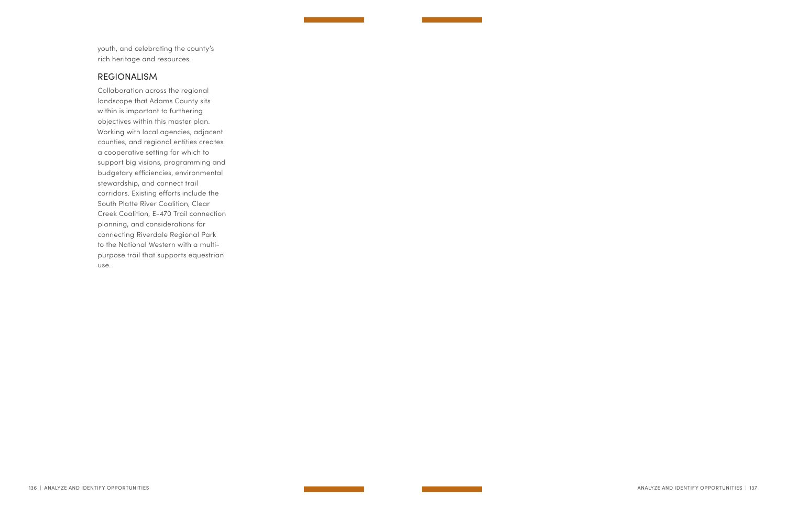youth, and celebrating the county's rich heritage and resources.

# REGIONALISM

Collaboration across the regional landscape that Adams County sits within is important to furthering objectives within this master plan. Working with local agencies, adjacent counties, and regional entities creates a cooperative setting for which to support big visions, programming and budgetary efficiencies, environmental stewardship, and connect trail corridors. Existing efforts include the South Platte River Coalition, Clear Creek Coalition, E-470 Trail connection planning, and considerations for connecting Riverdale Regional Park to the National Western with a multipurpose trail that supports equestrian use.